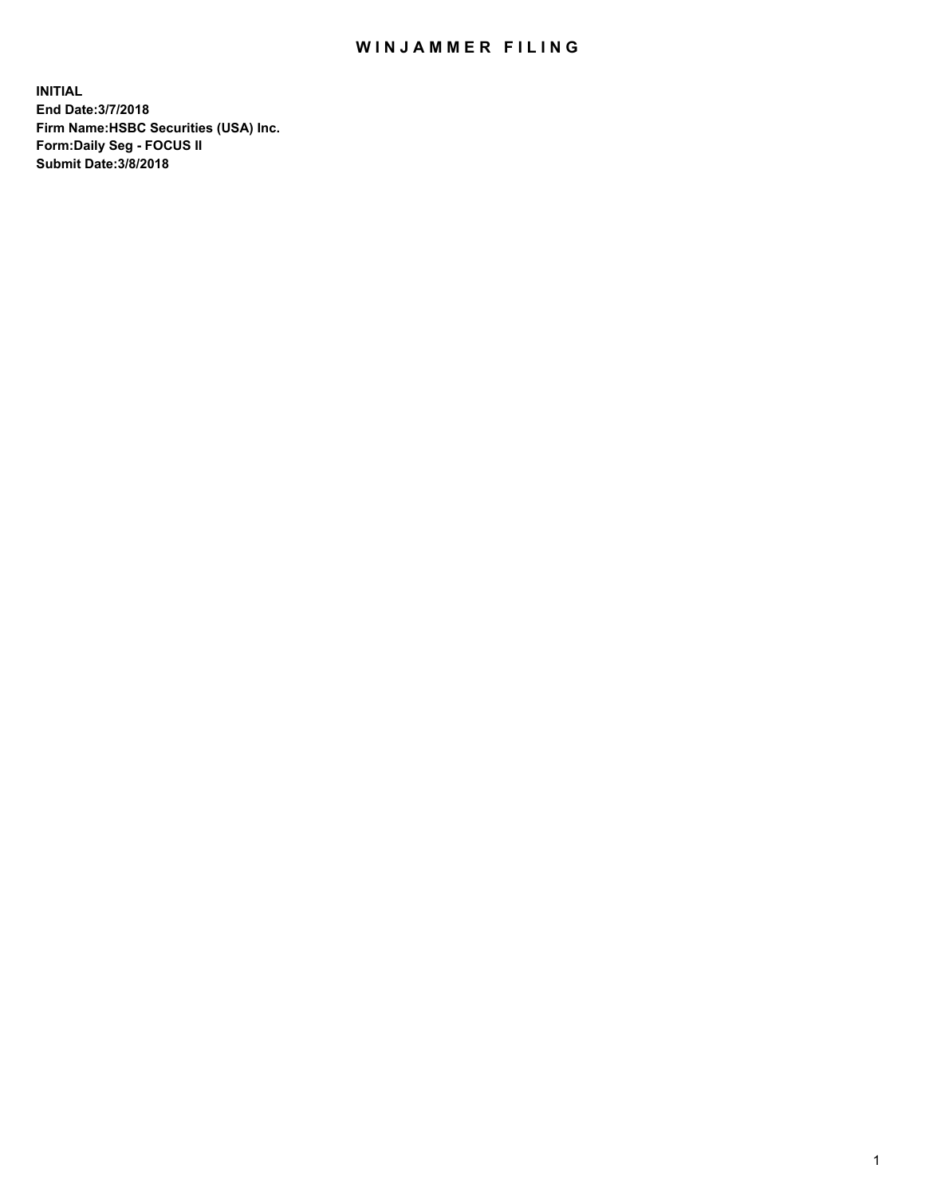## WIN JAMMER FILING

**INITIAL End Date:3/7/2018 Firm Name:HSBC Securities (USA) Inc. Form:Daily Seg - FOCUS II Submit Date:3/8/2018**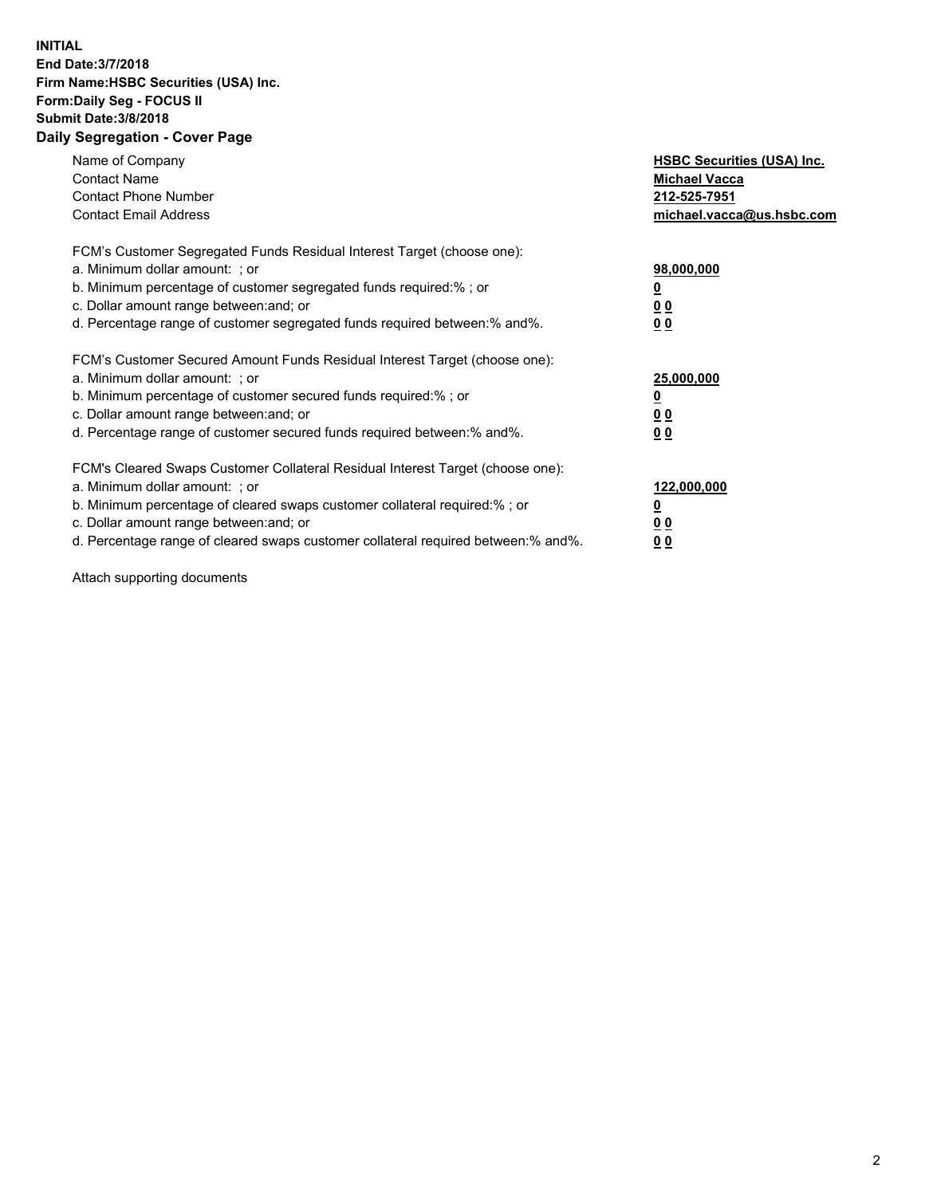## **INITIAL End Date:3/7/2018 Firm Name:HSBC Securities (USA) Inc. Form:Daily Seg - FOCUS II Submit Date:3/8/2018 Daily Segregation - Cover Page**

| Name of Company<br><b>Contact Name</b><br><b>Contact Phone Number</b><br><b>Contact Email Address</b>                                                                                                                                                                                                                         | <b>HSBC Securities (USA) Inc.</b><br><b>Michael Vacca</b><br>212-525-7951<br>michael.vacca@us.hsbc.com |
|-------------------------------------------------------------------------------------------------------------------------------------------------------------------------------------------------------------------------------------------------------------------------------------------------------------------------------|--------------------------------------------------------------------------------------------------------|
| FCM's Customer Segregated Funds Residual Interest Target (choose one):<br>a. Minimum dollar amount: ; or<br>b. Minimum percentage of customer segregated funds required:%; or<br>c. Dollar amount range between: and; or<br>d. Percentage range of customer segregated funds required between: % and %.                       | 98,000,000<br><u>0</u><br><u>00</u><br>00                                                              |
| FCM's Customer Secured Amount Funds Residual Interest Target (choose one):<br>a. Minimum dollar amount: ; or<br>b. Minimum percentage of customer secured funds required:%; or<br>c. Dollar amount range between: and; or<br>d. Percentage range of customer secured funds required between: % and %.                         | 25,000,000<br><u>0</u><br><u>00</u><br>00                                                              |
| FCM's Cleared Swaps Customer Collateral Residual Interest Target (choose one):<br>a. Minimum dollar amount: ; or<br>b. Minimum percentage of cleared swaps customer collateral required:%; or<br>c. Dollar amount range between: and; or<br>d. Percentage range of cleared swaps customer collateral required between:% and%. | 122,000,000<br><u>0</u><br><u>00</u><br><u>00</u>                                                      |

Attach supporting documents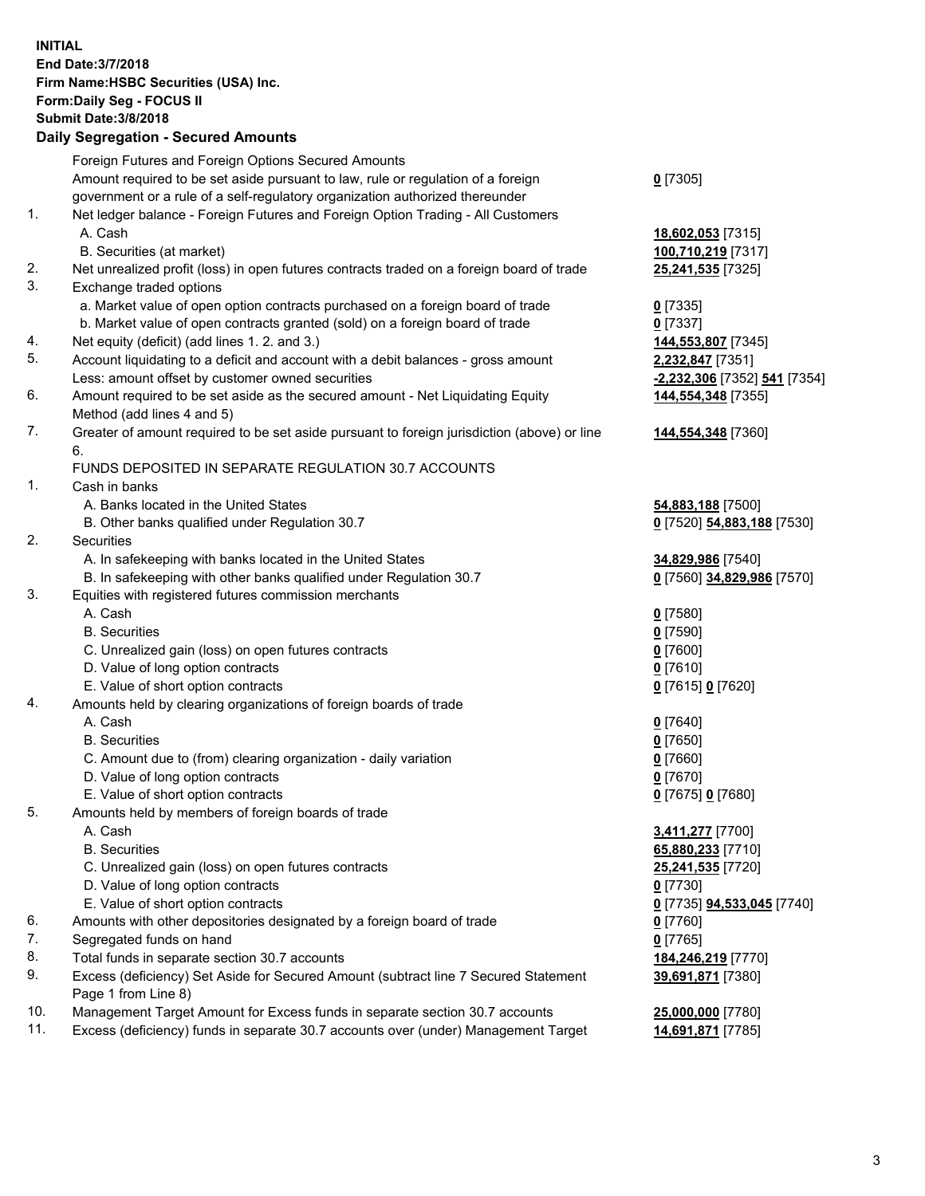**INITIAL End Date:3/7/2018 Firm Name:HSBC Securities (USA) Inc. Form:Daily Seg - FOCUS II Submit Date:3/8/2018 Daily Segregation - Secured Amounts** Foreign Futures and Foreign Options Secured Amounts Amount required to be set aside pursuant to law, rule or regulation of a foreign government or a rule of a self-regulatory organization authorized thereunder **0** [7305] 1. Net ledger balance - Foreign Futures and Foreign Option Trading - All Customers A. Cash **18,602,053** [7315] B. Securities (at market) **100,710,219** [7317] 2. Net unrealized profit (loss) in open futures contracts traded on a foreign board of trade **25,241,535** [7325] 3. Exchange traded options a. Market value of open option contracts purchased on a foreign board of trade **0** [7335] b. Market value of open contracts granted (sold) on a foreign board of trade **0** [7337] 4. Net equity (deficit) (add lines 1. 2. and 3.) **144,553,807** [7345] 5. Account liquidating to a deficit and account with a debit balances - gross amount **2,232,847** [7351] Less: amount offset by customer owned securities **-2,232,306** [7352] **541** [7354] 6. Amount required to be set aside as the secured amount - Net Liquidating Equity Method (add lines 4 and 5) **144,554,348** [7355] 7. Greater of amount required to be set aside pursuant to foreign jurisdiction (above) or line 6. **144,554,348** [7360] FUNDS DEPOSITED IN SEPARATE REGULATION 30.7 ACCOUNTS 1. Cash in banks A. Banks located in the United States **54,883,188** [7500] B. Other banks qualified under Regulation 30.7 **0** [7520] **54,883,188** [7530] 2. Securities A. In safekeeping with banks located in the United States **34,829,986** [7540] B. In safekeeping with other banks qualified under Regulation 30.7 **0** [7560] **34,829,986** [7570] 3. Equities with registered futures commission merchants A. Cash **0** [7580] B. Securities **0** [7590] C. Unrealized gain (loss) on open futures contracts **0** [7600] D. Value of long option contracts **0** [7610] E. Value of short option contracts **0** [7615] **0** [7620] 4. Amounts held by clearing organizations of foreign boards of trade A. Cash **0** [7640] B. Securities **0** [7650] C. Amount due to (from) clearing organization - daily variation **0** [7660] D. Value of long option contracts **0** [7670] E. Value of short option contracts **0** [7675] **0** [7680] 5. Amounts held by members of foreign boards of trade A. Cash **3,411,277** [7700] B. Securities **65,880,233** [7710] C. Unrealized gain (loss) on open futures contracts **25,241,535** [7720] D. Value of long option contracts **0** [7730] E. Value of short option contracts **0** [7735] **94,533,045** [7740] 6. Amounts with other depositories designated by a foreign board of trade **0** [7760] 7. Segregated funds on hand **0** [7765] 8. Total funds in separate section 30.7 accounts **184,246,219** [7770] 9. Excess (deficiency) Set Aside for Secured Amount (subtract line 7 Secured Statement Page 1 from Line 8) **39,691,871** [7380] 10. Management Target Amount for Excess funds in separate section 30.7 accounts **25,000,000** [7780]

11. Excess (deficiency) funds in separate 30.7 accounts over (under) Management Target **14,691,871** [7785]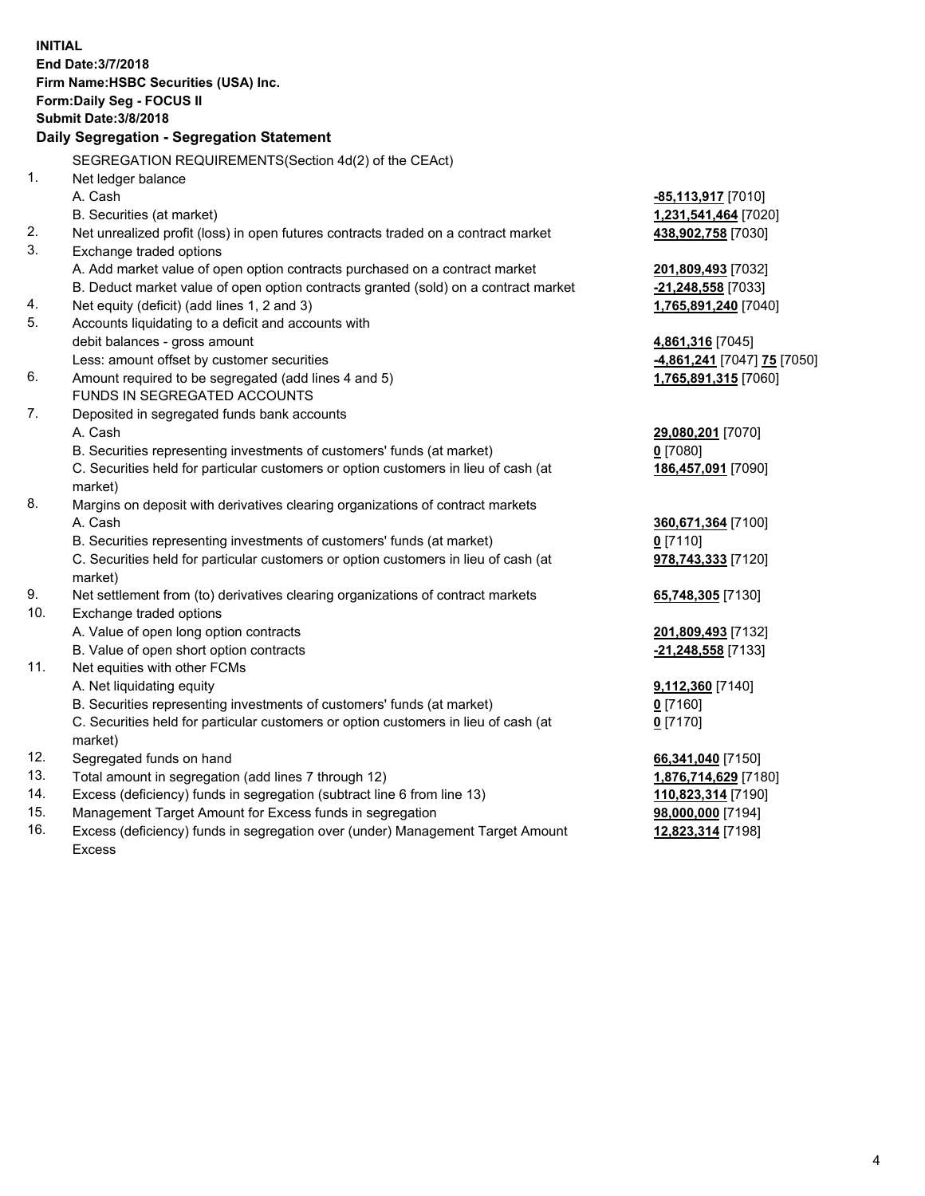| <b>INITIAL</b>                        |                                                                                                |                             |  |  |  |
|---------------------------------------|------------------------------------------------------------------------------------------------|-----------------------------|--|--|--|
| End Date: 3/7/2018                    |                                                                                                |                             |  |  |  |
| Firm Name: HSBC Securities (USA) Inc. |                                                                                                |                             |  |  |  |
| Form: Daily Seg - FOCUS II            |                                                                                                |                             |  |  |  |
| <b>Submit Date: 3/8/2018</b>          |                                                                                                |                             |  |  |  |
|                                       | Daily Segregation - Segregation Statement                                                      |                             |  |  |  |
|                                       | SEGREGATION REQUIREMENTS(Section 4d(2) of the CEAct)                                           |                             |  |  |  |
| 1.                                    | Net ledger balance                                                                             |                             |  |  |  |
|                                       | A. Cash                                                                                        | -85,113,917 [7010]          |  |  |  |
|                                       | B. Securities (at market)                                                                      | 1,231,541,464 [7020]        |  |  |  |
| 2.                                    | Net unrealized profit (loss) in open futures contracts traded on a contract market             | 438,902,758 [7030]          |  |  |  |
| 3.                                    | Exchange traded options                                                                        |                             |  |  |  |
|                                       | A. Add market value of open option contracts purchased on a contract market                    | 201,809,493 [7032]          |  |  |  |
|                                       | B. Deduct market value of open option contracts granted (sold) on a contract market            | -21,248,558 [7033]          |  |  |  |
| 4.                                    | Net equity (deficit) (add lines 1, 2 and 3)                                                    | 1,765,891,240 [7040]        |  |  |  |
| 5.                                    | Accounts liquidating to a deficit and accounts with                                            |                             |  |  |  |
|                                       | debit balances - gross amount                                                                  | 4,861,316 [7045]            |  |  |  |
|                                       | Less: amount offset by customer securities                                                     | -4,861,241 [7047] 75 [7050] |  |  |  |
| 6.                                    | Amount required to be segregated (add lines 4 and 5)                                           | 1,765,891,315 [7060]        |  |  |  |
|                                       | FUNDS IN SEGREGATED ACCOUNTS                                                                   |                             |  |  |  |
| 7.                                    | Deposited in segregated funds bank accounts                                                    |                             |  |  |  |
|                                       | A. Cash                                                                                        | 29,080,201 [7070]           |  |  |  |
|                                       | B. Securities representing investments of customers' funds (at market)                         | 0 [7080]                    |  |  |  |
|                                       | C. Securities held for particular customers or option customers in lieu of cash (at<br>market) | 186,457,091 [7090]          |  |  |  |
| 8.                                    | Margins on deposit with derivatives clearing organizations of contract markets                 |                             |  |  |  |
|                                       | A. Cash                                                                                        | 360,671,364 [7100]          |  |  |  |
|                                       | B. Securities representing investments of customers' funds (at market)                         | $0$ [7110]                  |  |  |  |
|                                       | C. Securities held for particular customers or option customers in lieu of cash (at            | 978,743,333 [7120]          |  |  |  |
|                                       | market)                                                                                        |                             |  |  |  |
| 9.                                    | Net settlement from (to) derivatives clearing organizations of contract markets                | 65,748,305 [7130]           |  |  |  |
| 10.                                   | Exchange traded options                                                                        |                             |  |  |  |
|                                       | A. Value of open long option contracts                                                         | 201,809,493 [7132]          |  |  |  |
|                                       | B. Value of open short option contracts                                                        | -21,248,558 [7133]          |  |  |  |
| 11.                                   | Net equities with other FCMs                                                                   |                             |  |  |  |
|                                       | A. Net liquidating equity                                                                      | 9,112,360 [7140]            |  |  |  |
|                                       | B. Securities representing investments of customers' funds (at market)                         | $0$ [7160]                  |  |  |  |
|                                       | C. Securities held for particular customers or option customers in lieu of cash (at            | $0$ [7170]                  |  |  |  |
|                                       | market)                                                                                        |                             |  |  |  |
| 12.                                   | Segregated funds on hand                                                                       | 66,341,040 [7150]           |  |  |  |
| 13.                                   | Total amount in segregation (add lines 7 through 12)                                           | 1,876,714,629 [7180]        |  |  |  |
| 14.                                   | Excess (deficiency) funds in segregation (subtract line 6 from line 13)                        | 110,823,314 [7190]          |  |  |  |
| 15.                                   | Management Target Amount for Excess funds in segregation                                       | 98,000,000 [7194]           |  |  |  |

16. Excess (deficiency) funds in segregation over (under) Management Target Amount Excess

**12,823,314** [7198]